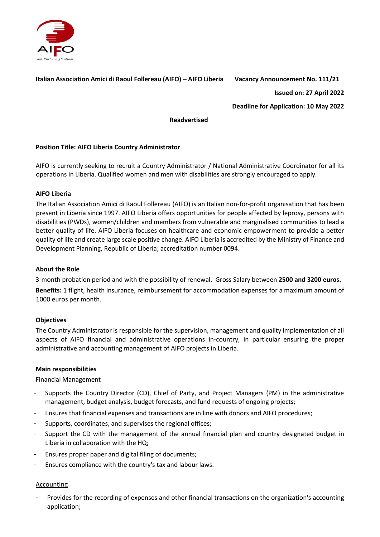

### **Italian Association Amici di Raoul Follereau (AIFO) – AIFO Liberia Vacancy Announcement No. 111/21**

**Issued on: 27 April 2022** 

**Deadline for Application: 10 May 2022** 

#### **Readvertised**

# **Position Title: AIFO Liberia Country Administrator**

AIFO is currently seeking to recruit a Country Administrator / National Administrative Coordinator for all its operations in Liberia. Qualified women and men with disabilities are strongly encouraged to apply.

#### **AIFO Liberia**

The Italian Association Amici di Raoul Follereau (AIFO) is an Italian non-for-profit organisation that has been present in Liberia since 1997. AIFO Liberia offers opportunities for people affected by leprosy, persons with disabilities (PWDs), women/children and members from vulnerable and marginalised communities to lead a better quality of life. AIFO Liberia focuses on healthcare and economic empowerment to provide a better quality of life and create large scale positive change. AIFO Liberia is accredited by the Ministry of Finance and Development Planning, Republic of Liberia; accreditation number 0094.

#### **About the Role**

3-month probation period and with the possibility of renewal. Gross Salary between **2500 and 3200 euros. Benefits:** 1 flight, health insurance, reimbursement for accommodation expenses for a maximum amount of 1000 euros per month.

#### **Objectives**

The Country Administrator is responsible for the supervision, management and quality implementation of all aspects of AIFO financial and administrative operations in-country, in particular ensuring the proper administrative and accounting management of AIFO projects in Liberia.

#### **Main responsibilities**

#### Financial Management

- Supports the Country Director (CD), Chief of Party, and Project Managers (PM) in the administrative management, budget analysis, budget forecasts, and fund requests of ongoing projects;
- Ensures that financial expenses and transactions are in line with donors and AIFO procedures;
- Supports, coordinates, and supervises the regional offices;
- Support the CD with the management of the annual financial plan and country designated budget in Liberia in collaboration with the HQ;
- Ensures proper paper and digital filing of documents;
- Ensures compliance with the country's tax and labour laws.

#### **Accounting**

Provides for the recording of expenses and other financial transactions on the organization's accounting application;